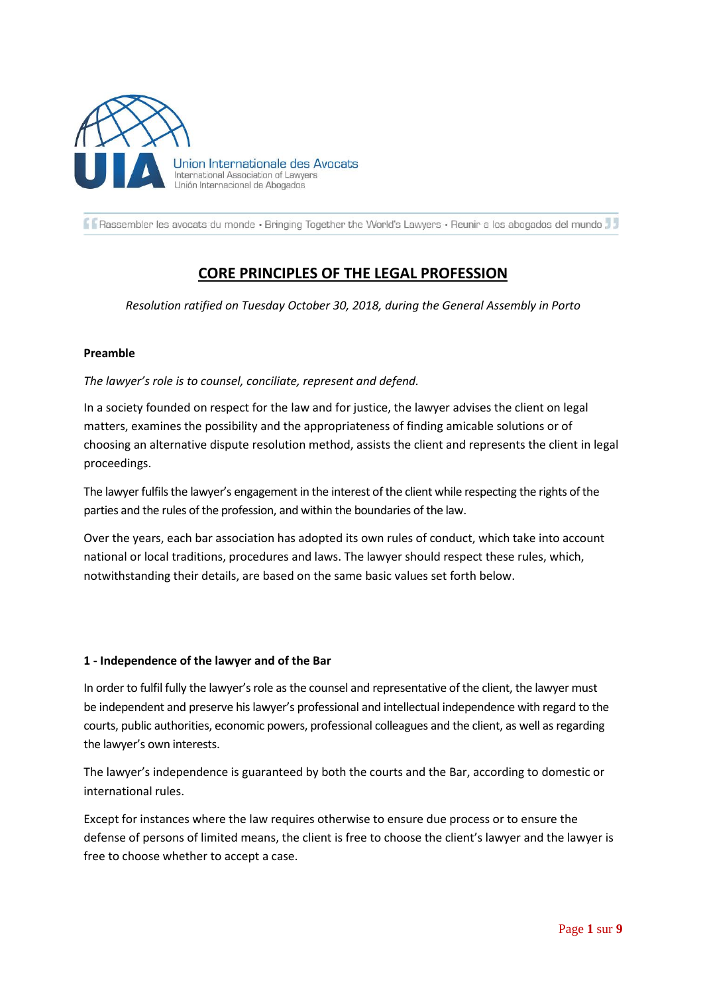

Rassembler les avocats du monde · Bringing Together the World's Lawyers · Reunir a los abogados del mundo

# **CORE PRINCIPLES OF THE LEGAL PROFESSION**

*Resolution ratified on Tuesday October 30, 2018, during the General Assembly in Porto*

## **Preamble**

## *The lawyer's role is to counsel, conciliate, represent and defend.*

In a society founded on respect for the law and for justice, the lawyer advises the client on legal matters, examines the possibility and the appropriateness of finding amicable solutions or of choosing an alternative dispute resolution method, assists the client and represents the client in legal proceedings.

The lawyer fulfils the lawyer's engagement in the interest of the client while respecting the rights of the parties and the rules of the profession, and within the boundaries of the law.

Over the years, each bar association has adopted its own rules of conduct, which take into account national or local traditions, procedures and laws. The lawyer should respect these rules, which, notwithstanding their details, are based on the same basic values set forth below.

## **1 - Independence of the lawyer and of the Bar**

In order to fulfil fully the lawyer's role as the counsel and representative of the client, the lawyer must be independent and preserve his lawyer's professional and intellectual independence with regard to the courts, public authorities, economic powers, professional colleagues and the client, as well as regarding the lawyer's own interests.

The lawyer's independence is guaranteed by both the courts and the Bar, according to domestic or international rules.

Except for instances where the law requires otherwise to ensure due process or to ensure the defense of persons of limited means, the client is free to choose the client's lawyer and the lawyer is free to choose whether to accept a case.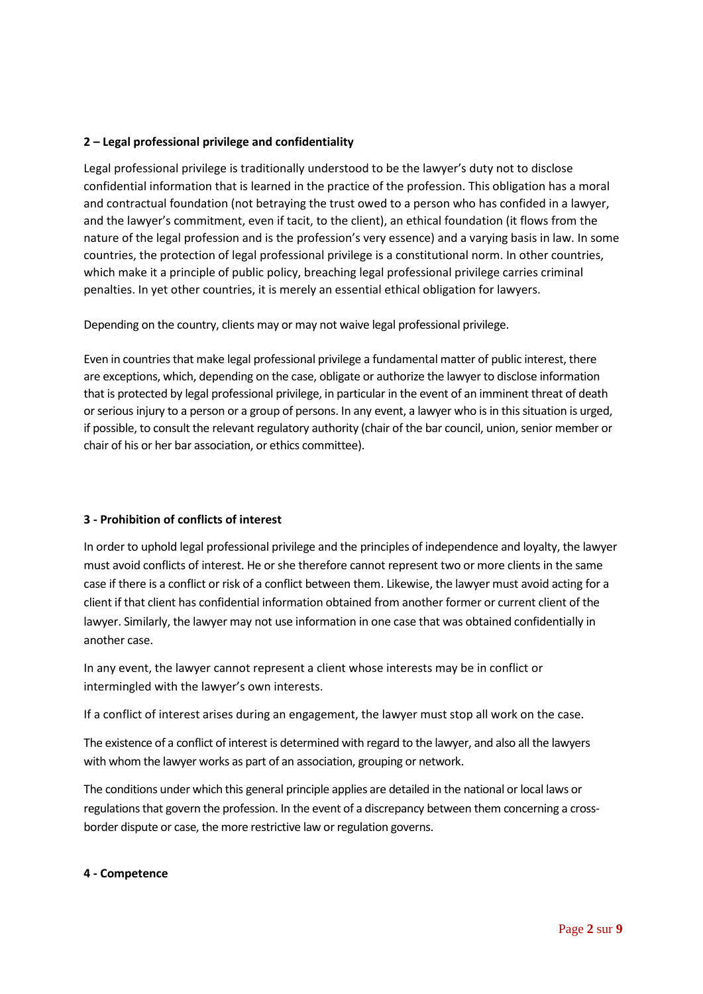## **2 – Legal professional privilege and confidentiality**

Legal professional privilege is traditionally understood to be the lawyer's duty not to disclose confidential information that is learned in the practice of the profession. This obligation has a moral and contractual foundation (not betraying the trust owed to a person who has confided in a lawyer, and the lawyer's commitment, even if tacit, to the client), an ethical foundation (it flows from the nature of the legal profession and is the profession's very essence) and a varying basis in law. In some countries, the protection of legal professional privilege is a constitutional norm. In other countries, which make it a principle of public policy, breaching legal professional privilege carries criminal penalties. In yet other countries, it is merely an essential ethical obligation for lawyers.

Depending on the country, clients may or may not waive legal professional privilege.

Even in countries that make legal professional privilege a fundamental matter of public interest, there are exceptions, which, depending on the case, obligate or authorize the lawyer to disclose information that is protected by legal professional privilege, in particular in the event of an imminent threat of death or serious injury to a person or a group of persons. In any event, a lawyer who is in this situation is urged, if possible, to consult the relevant regulatory authority (chair of the bar council, union, senior member or chair of his or her bar association, or ethics committee).

## **3 - Prohibition of conflicts of interest**

In order to uphold legal professional privilege and the principles of independence and loyalty, the lawyer must avoid conflicts of interest. He or she therefore cannot represent two or more clients in the same case if there is a conflict or risk of a conflict between them. Likewise, the lawyer must avoid acting for a client if that client has confidential information obtained from another former or current client of the lawyer. Similarly, the lawyer may not use information in one case that was obtained confidentially in another case.

In any event, the lawyer cannot represent a client whose interests may be in conflict or intermingled with the lawyer's own interests.

If a conflict of interest arises during an engagement, the lawyer must stop all work on the case.

The existence of a conflict of interest is determined with regard to the lawyer, and also all the lawyers with whom the lawyer works as part of an association, grouping or network.

The conditions under which this general principle applies are detailed in the national or local laws or regulations that govern the profession. In the event of a discrepancy between them concerning a crossborder dispute or case, the more restrictive law or regulation governs.

## **4 - Competence**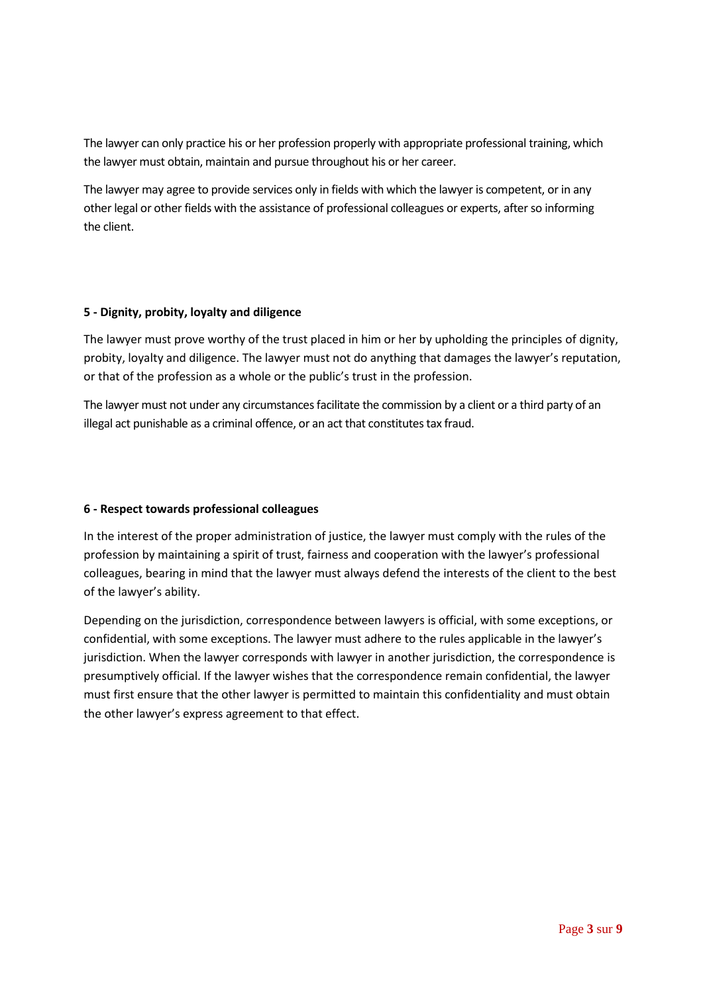The lawyer can only practice his or her profession properly with appropriate professional training, which the lawyer must obtain, maintain and pursue throughout his or her career.

The lawyer may agree to provide services only in fields with which the lawyer is competent, or in any other legal or other fields with the assistance of professional colleagues or experts, after so informing the client.

## **5 - Dignity, probity, loyalty and diligence**

The lawyer must prove worthy of the trust placed in him or her by upholding the principles of dignity, probity, loyalty and diligence. The lawyer must not do anything that damages the lawyer's reputation, or that of the profession as a whole or the public's trust in the profession.

The lawyer must not under any circumstances facilitate the commission by a client or a third party of an illegal act punishable as a criminal offence, or an act that constitutes tax fraud.

# **6 - Respect towards professional colleagues**

In the interest of the proper administration of justice, the lawyer must comply with the rules of the profession by maintaining a spirit of trust, fairness and cooperation with the lawyer's professional colleagues, bearing in mind that the lawyer must always defend the interests of the client to the best of the lawyer's ability.

Depending on the jurisdiction, correspondence between lawyers is official, with some exceptions, or confidential, with some exceptions. The lawyer must adhere to the rules applicable in the lawyer's jurisdiction. When the lawyer corresponds with lawyer in another jurisdiction, the correspondence is presumptively official. If the lawyer wishes that the correspondence remain confidential, the lawyer must first ensure that the other lawyer is permitted to maintain this confidentiality and must obtain the other lawyer's express agreement to that effect.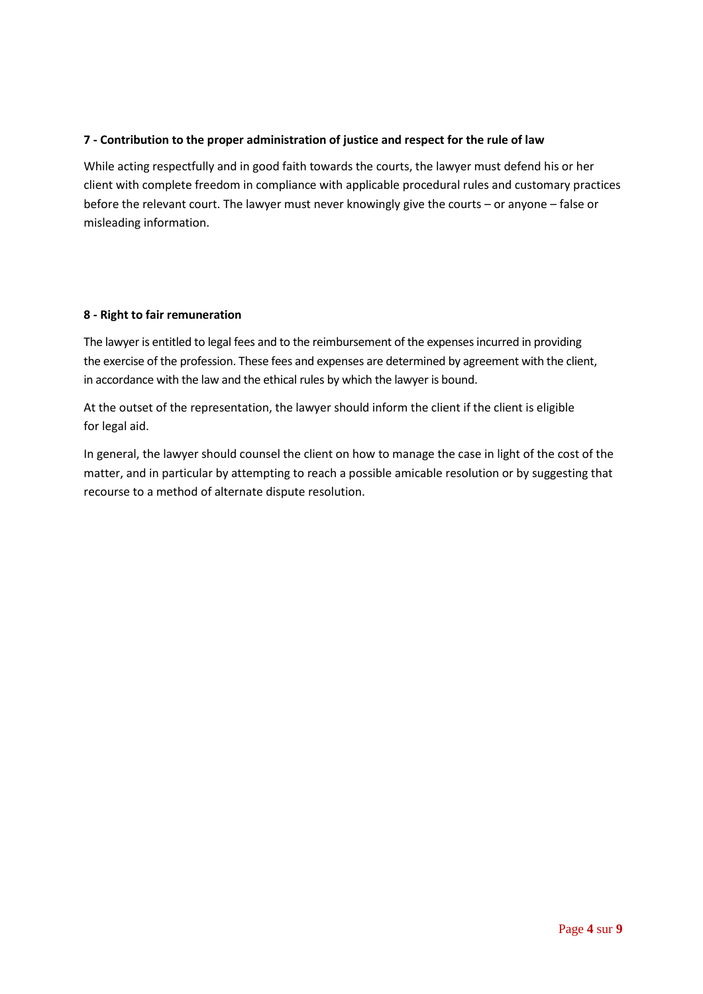## **7 - Contribution to the proper administration of justice and respect for the rule of law**

While acting respectfully and in good faith towards the courts, the lawyer must defend his or her client with complete freedom in compliance with applicable procedural rules and customary practices before the relevant court. The lawyer must never knowingly give the courts – or anyone – false or misleading information.

## **8 - Right to fair remuneration**

The lawyer is entitled to legal fees and to the reimbursement of the expenses incurred in providing the exercise of the profession. These fees and expenses are determined by agreement with the client, in accordance with the law and the ethical rules by which the lawyer is bound.

At the outset of the representation, the lawyer should inform the client if the client is eligible for legal aid.

In general, the lawyer should counsel the client on how to manage the case in light of the cost of the matter, and in particular by attempting to reach a possible amicable resolution or by suggesting that recourse to a method of alternate dispute resolution.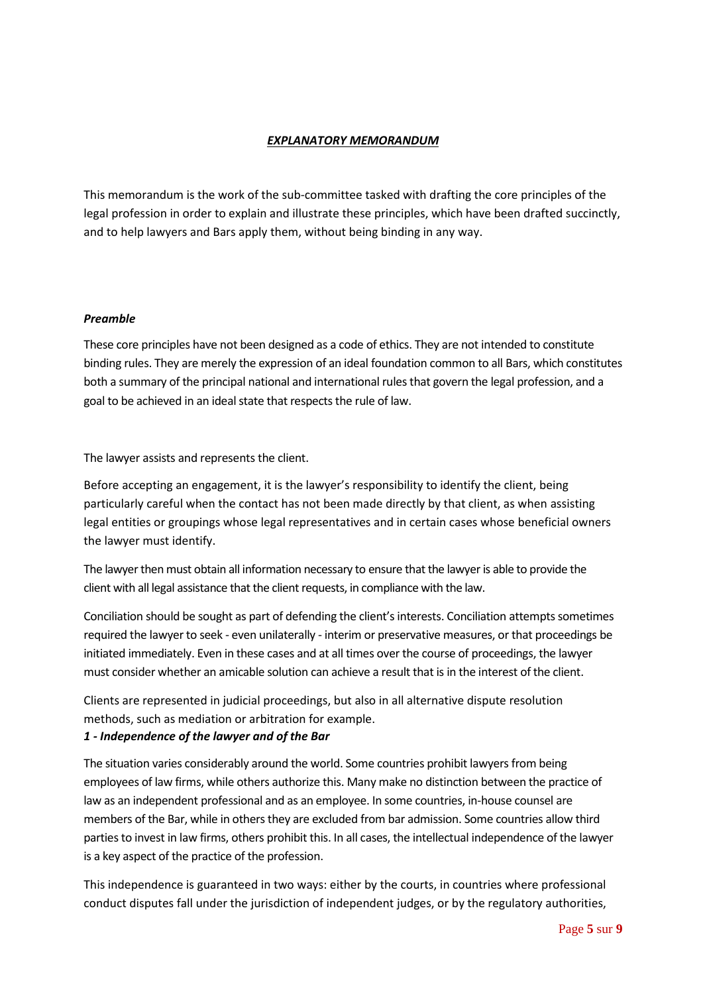## *EXPLANATORY MEMORANDUM*

This memorandum is the work of the sub-committee tasked with drafting the core principles of the legal profession in order to explain and illustrate these principles, which have been drafted succinctly, and to help lawyers and Bars apply them, without being binding in any way.

## *Preamble*

These core principles have not been designed as a code of ethics. They are not intended to constitute binding rules. They are merely the expression of an ideal foundation common to all Bars, which constitutes both a summary of the principal national and international rules that govern the legal profession, and a goal to be achieved in an ideal state that respects the rule of law.

The lawyer assists and represents the client.

Before accepting an engagement, it is the lawyer's responsibility to identify the client, being particularly careful when the contact has not been made directly by that client, as when assisting legal entities or groupings whose legal representatives and in certain cases whose beneficial owners the lawyer must identify.

The lawyer then must obtain all information necessary to ensure that the lawyer is able to provide the client with all legal assistance that the client requests, in compliance with the law.

Conciliation should be sought as part of defending the client's interests. Conciliation attempts sometimes required the lawyer to seek - even unilaterally - interim or preservative measures, or that proceedings be initiated immediately. Even in these cases and at all times over the course of proceedings, the lawyer must consider whether an amicable solution can achieve a result that is in the interest of the client.

Clients are represented in judicial proceedings, but also in all alternative dispute resolution methods, such as mediation or arbitration for example.

## *1 - Independence of the lawyer and of the Bar*

The situation varies considerably around the world. Some countries prohibit lawyers from being employees of law firms, while others authorize this. Many make no distinction between the practice of law as an independent professional and as an employee. In some countries, in-house counsel are members of the Bar, while in others they are excluded from bar admission. Some countries allow third parties to invest in law firms, others prohibit this. In all cases, the intellectual independence of the lawyer is a key aspect of the practice of the profession.

This independence is guaranteed in two ways: either by the courts, in countries where professional conduct disputes fall under the jurisdiction of independent judges, or by the regulatory authorities,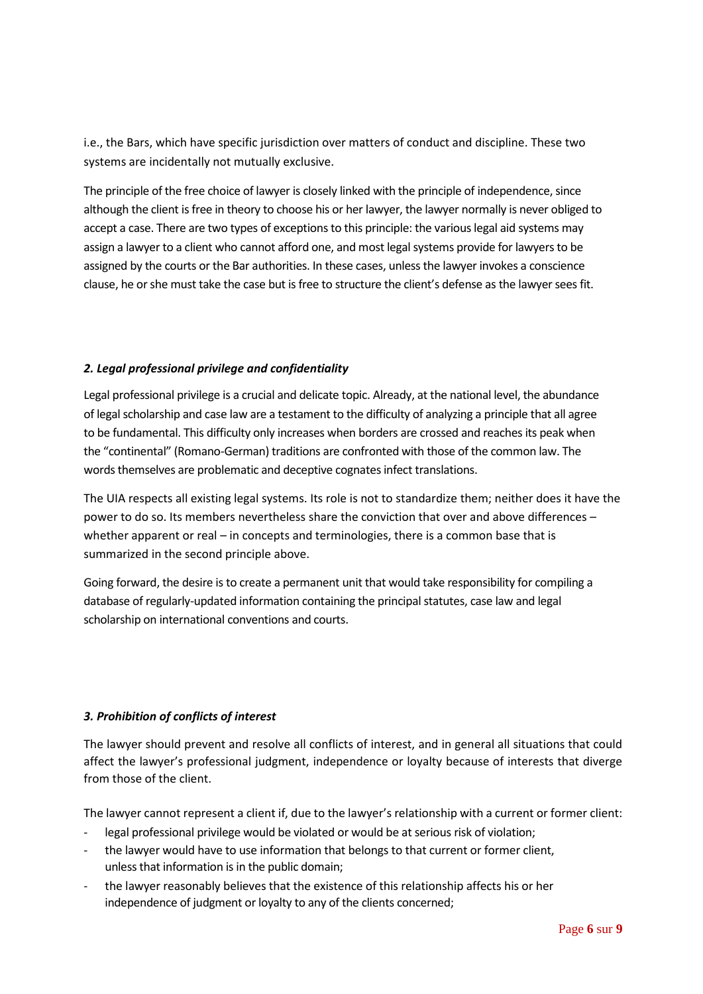i.e., the Bars, which have specific jurisdiction over matters of conduct and discipline. These two systems are incidentally not mutually exclusive.

The principle of the free choice of lawyer is closely linked with the principle of independence, since although the client is free in theory to choose his or her lawyer, the lawyer normally is never obliged to accept a case. There are two types of exceptions to this principle: the various legal aid systems may assign a lawyer to a client who cannot afford one, and most legal systems provide for lawyers to be assigned by the courts or the Bar authorities. In these cases, unless the lawyer invokes a conscience clause, he or she must take the case but is free to structure the client's defense as the lawyer sees fit.

# *2. Legal professional privilege and confidentiality*

Legal professional privilege is a crucial and delicate topic. Already, at the national level, the abundance of legal scholarship and case law are a testament to the difficulty of analyzing a principle that all agree to be fundamental. This difficulty only increases when borders are crossed and reaches its peak when the "continental" (Romano-German) traditions are confronted with those of the common law. The words themselves are problematic and deceptive cognates infect translations.

The UIA respects all existing legal systems. Its role is not to standardize them; neither does it have the power to do so. Its members nevertheless share the conviction that over and above differences – whether apparent or real – in concepts and terminologies, there is a common base that is summarized in the second principle above.

Going forward, the desire is to create a permanent unit that would take responsibility for compiling a database of regularly-updated information containing the principal statutes, case law and legal scholarship on international conventions and courts.

## *3. Prohibition of conflicts of interest*

The lawyer should prevent and resolve all conflicts of interest, and in general all situations that could affect the lawyer's professional judgment, independence or loyalty because of interests that diverge from those of the client.

The lawyer cannot represent a client if, due to the lawyer's relationship with a current or former client:

- legal professional privilege would be violated or would be at serious risk of violation;
- the lawyer would have to use information that belongs to that current or former client, unless that information is in the public domain;
- the lawyer reasonably believes that the existence of this relationship affects his or her independence of judgment or loyalty to any of the clients concerned;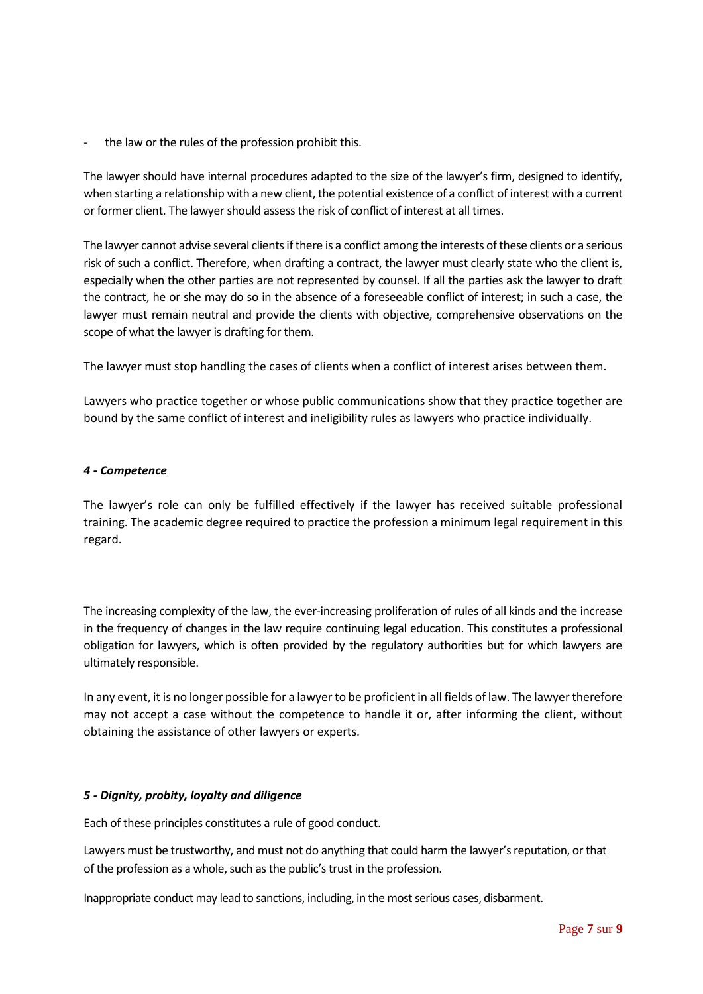the law or the rules of the profession prohibit this.

The lawyer should have internal procedures adapted to the size of the lawyer's firm, designed to identify, when starting a relationship with a new client, the potential existence of a conflict of interest with a current or former client. The lawyer should assess the risk of conflict of interest at all times.

The lawyer cannot advise several clients if there is a conflict among the interests of these clients or a serious risk of such a conflict. Therefore, when drafting a contract, the lawyer must clearly state who the client is, especially when the other parties are not represented by counsel. If all the parties ask the lawyer to draft the contract, he or she may do so in the absence of a foreseeable conflict of interest; in such a case, the lawyer must remain neutral and provide the clients with objective, comprehensive observations on the scope of what the lawyer is drafting for them.

The lawyer must stop handling the cases of clients when a conflict of interest arises between them.

Lawyers who practice together or whose public communications show that they practice together are bound by the same conflict of interest and ineligibility rules as lawyers who practice individually.

#### *4 - Competence*

The lawyer's role can only be fulfilled effectively if the lawyer has received suitable professional training. The academic degree required to practice the profession a minimum legal requirement in this regard.

The increasing complexity of the law, the ever-increasing proliferation of rules of all kinds and the increase in the frequency of changes in the law require continuing legal education. This constitutes a professional obligation for lawyers, which is often provided by the regulatory authorities but for which lawyers are ultimately responsible.

In any event, it is no longer possible for a lawyer to be proficient in all fields of law. The lawyer therefore may not accept a case without the competence to handle it or, after informing the client, without obtaining the assistance of other lawyers or experts.

## *5 - Dignity, probity, loyalty and diligence*

Each of these principles constitutes a rule of good conduct.

Lawyers must be trustworthy, and must not do anything that could harm the lawyer's reputation, or that of the profession as a whole, such as the public's trust in the profession.

Inappropriate conduct may lead to sanctions, including, in the most serious cases, disbarment.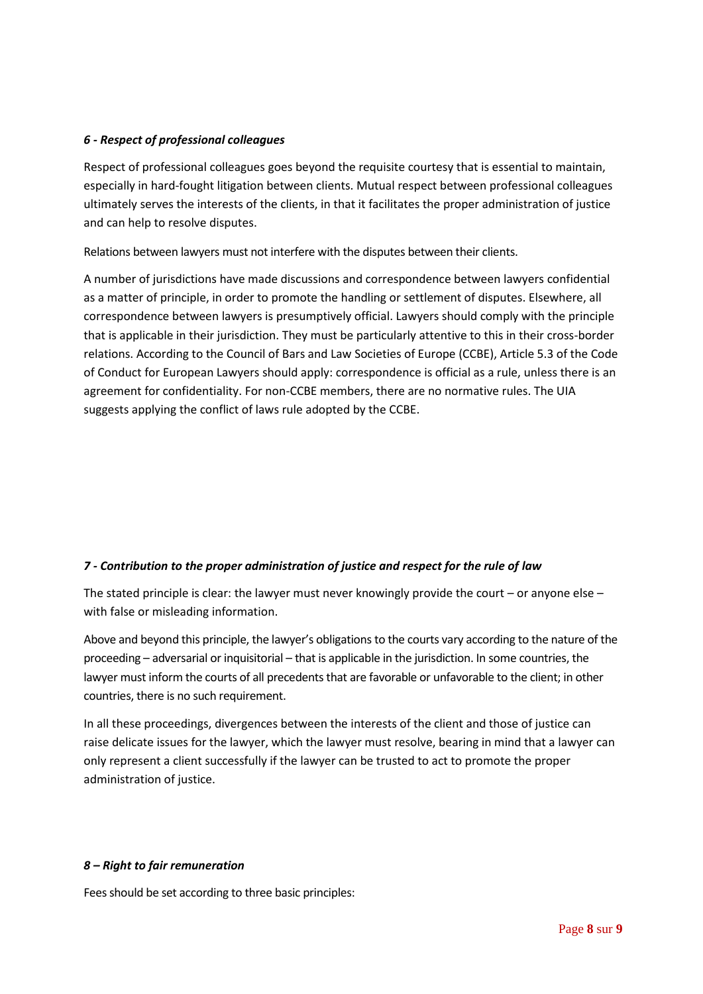## *6 - Respect of professional colleagues*

Respect of professional colleagues goes beyond the requisite courtesy that is essential to maintain, especially in hard-fought litigation between clients. Mutual respect between professional colleagues ultimately serves the interests of the clients, in that it facilitates the proper administration of justice and can help to resolve disputes.

Relations between lawyers must not interfere with the disputes between their clients.

A number of jurisdictions have made discussions and correspondence between lawyers confidential as a matter of principle, in order to promote the handling or settlement of disputes. Elsewhere, all correspondence between lawyers is presumptively official. Lawyers should comply with the principle that is applicable in their jurisdiction. They must be particularly attentive to this in their cross-border relations. According to the Council of Bars and Law Societies of Europe (CCBE), Article 5.3 of the Code of Conduct for European Lawyers should apply: correspondence is official as a rule, unless there is an agreement for confidentiality. For non-CCBE members, there are no normative rules. The UIA suggests applying the conflict of laws rule adopted by the CCBE.

# *7 - Contribution to the proper administration of justice and respect for the rule of law*

The stated principle is clear: the lawyer must never knowingly provide the court – or anyone else – with false or misleading information.

Above and beyond this principle, the lawyer's obligations to the courts vary according to the nature of the proceeding – adversarial or inquisitorial – that is applicable in the jurisdiction. In some countries, the lawyer must inform the courts of all precedents that are favorable or unfavorable to the client; in other countries, there is no such requirement.

In all these proceedings, divergences between the interests of the client and those of justice can raise delicate issues for the lawyer, which the lawyer must resolve, bearing in mind that a lawyer can only represent a client successfully if the lawyer can be trusted to act to promote the proper administration of justice.

## *8 – Right to fair remuneration*

Fees should be set according to three basic principles: